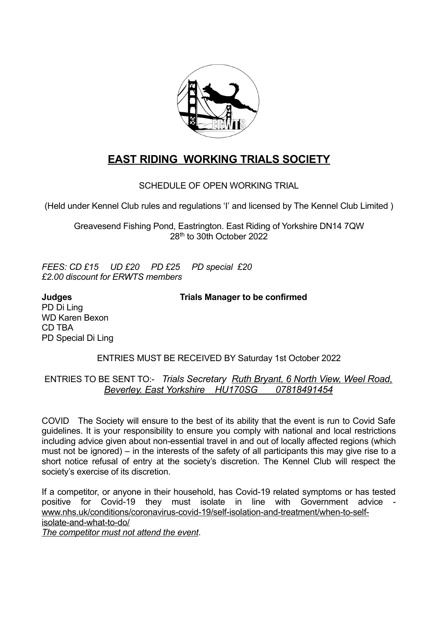

# **EAST RIDING WORKING TRIALS SOCIETY**

SCHEDULE OF OPEN WORKING TRIAL

(Held under Kennel Club rules and regulations 'I' and licensed by The Kennel Club Limited )

Greavesend Fishing Pond, Eastrington. East Riding of Yorkshire DN14 7QW 28th to 30th October 2022

*FEES: CD £15 UD £20 PD £25 PD special £20 £2.00 discount for ERWTS members*

PD Di Ling WD Karen Bexon CD TBA PD Special Di Ling

**Judges Trials Manager to be confirmed**

# ENTRIES MUST BE RECEIVED BY Saturday 1st October 2022

# ENTRIES TO BE SENT TO:- *Trials Secretary Ruth Bryant, 6 North View, Weel Road, Beverley. East Yorkshire HU170SG 07818491454*

COVID The Society will ensure to the best of its ability that the event is run to Covid Safe guidelines. It is your responsibility to ensure you comply with national and local restrictions including advice given about non-essential travel in and out of locally affected regions (which must not be ignored) – in the interests of the safety of all participants this may give rise to a short notice refusal of entry at the society's discretion. The Kennel Club will respect the society's exercise of its discretion.

If a competitor, or anyone in their household, has Covid-19 related symptoms or has tested positive for Covid-19 they must isolate in line with Government advice [www.nhs.uk/conditions/coronavirus-covid-19/self-isolation-and-treatment/when-to-self](http://www.nhs.uk/conditions/coronavirus-covid-19/self-isolation-and-treatment/when-to-self-isolate-and-what-to-do/)[isolate-and-what-to-do/](http://www.nhs.uk/conditions/coronavirus-covid-19/self-isolation-and-treatment/when-to-self-isolate-and-what-to-do/)

*The competitor must not attend the event*.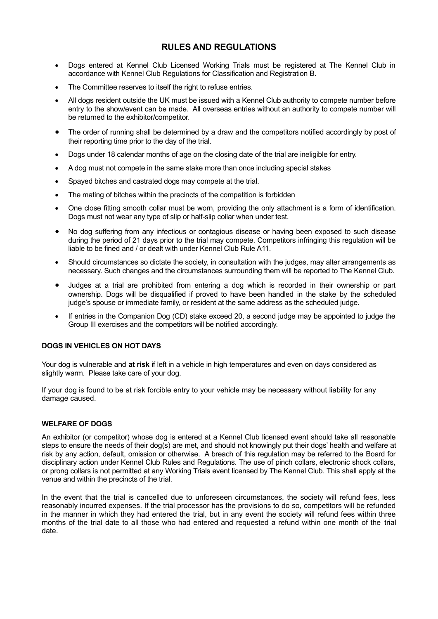# **RULES AND REGULATIONS**

- Dogs entered at Kennel Club Licensed Working Trials must be registered at The Kennel Club in accordance with Kennel Club Regulations for Classification and Registration B.
- The Committee reserves to itself the right to refuse entries.
- All dogs resident outside the UK must be issued with a Kennel Club authority to compete number before entry to the show/event can be made. All overseas entries without an authority to compete number will be returned to the exhibitor/competitor.
- The order of running shall be determined by a draw and the competitors notified accordingly by post of their reporting time prior to the day of the trial.
- Dogs under 18 calendar months of age on the closing date of the trial are ineligible for entry.
- A dog must not compete in the same stake more than once including special stakes
- Spayed bitches and castrated dogs may compete at the trial.
- The mating of bitches within the precincts of the competition is forbidden
- One close fitting smooth collar must be worn, providing the only attachment is a form of identification. Dogs must not wear any type of slip or half-slip collar when under test.
- No dog suffering from any infectious or contagious disease or having been exposed to such disease during the period of 21 days prior to the trial may compete. Competitors infringing this regulation will be liable to be fined and / or dealt with under Kennel Club Rule A11.
- Should circumstances so dictate the society, in consultation with the judges, may alter arrangements as necessary. Such changes and the circumstances surrounding them will be reported to The Kennel Club.
- Judges at a trial are prohibited from entering a dog which is recorded in their ownership or part ownership. Dogs will be disqualified if proved to have been handled in the stake by the scheduled judge's spouse or immediate family, or resident at the same address as the scheduled judge.
- If entries in the Companion Dog (CD) stake exceed 20, a second judge may be appointed to judge the Group III exercises and the competitors will be notified accordingly.

#### **DOGS IN VEHICLES ON HOT DAYS**

Your dog is vulnerable and **at risk** if left in a vehicle in high temperatures and even on days considered as slightly warm. Please take care of your dog.

If your dog is found to be at risk forcible entry to your vehicle may be necessary without liability for any damage caused.

#### **WELFARE OF DOGS**

An exhibitor (or competitor) whose dog is entered at a Kennel Club licensed event should take all reasonable steps to ensure the needs of their dog(s) are met, and should not knowingly put their dogs' health and welfare at risk by any action, default, omission or otherwise. A breach of this regulation may be referred to the Board for disciplinary action under Kennel Club Rules and Regulations. The use of pinch collars, electronic shock collars, or prong collars is not permitted at any Working Trials event licensed by The Kennel Club. This shall apply at the venue and within the precincts of the trial.

In the event that the trial is cancelled due to unforeseen circumstances, the society will refund fees, less reasonably incurred expenses. If the trial processor has the provisions to do so, competitors will be refunded in the manner in which they had entered the trial, but in any event the society will refund fees within three months of the trial date to all those who had entered and requested a refund within one month of the trial date.